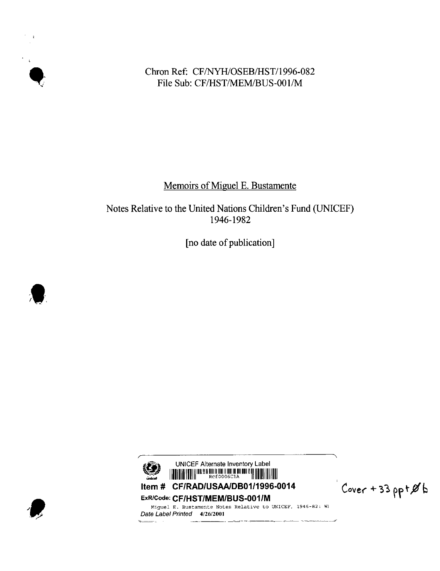$\mathbf{r}$  $\mathcal{A}^{\mathcal{A}}$ 

# Chron Ref: CF/NYH/OSEB/HST/1996-082 File Sub: CF/HST/MEM/BUS-001/M

# Memoirs of Miguel E. Bustamente

# Notes Relative to the United Nations Children's Fund (UNICEF) 1946-1982

[no date of publication]





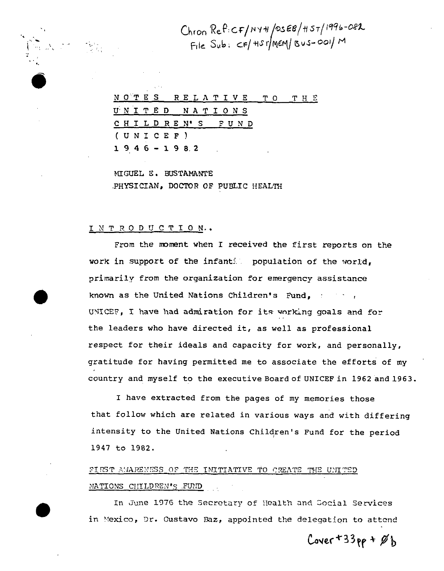Chron Ref:CF/NY+1/0SEB/H5T/1996-082<br>File Sub: CF/HST/MEM/Bus-001/M

|  |  |               |  |                |  |                 |  |  | NOTES RELATIVE TO THE |  |
|--|--|---------------|--|----------------|--|-----------------|--|--|-----------------------|--|
|  |  |               |  | UNITED NATIONS |  |                 |  |  |                       |  |
|  |  |               |  |                |  | CHILDREN'S FUND |  |  |                       |  |
|  |  | (UNICEF)      |  |                |  |                 |  |  |                       |  |
|  |  | $1946 - 1982$ |  |                |  |                 |  |  |                       |  |

MIGUEL E. BUSTAMANTE PHYSICIAN, DOCTOR OF PUBLIC HEALTH

### INTRODUCTION..

From the moment when I received the first reports on the work in support of the infantill population of the world, primarily from the organization for emergency assistance known as the United Nations Children's Fund, the state UNICEF, I have had admiration for its working goals and for the leaders who have directed it, as well as professional respect for their ideals and capacity for work, and personally, gratitude for having permitted me to associate the efforts of my country and myself to the executive Board of UNICEF in 1962 and 1963.

I have extracted from the pages of my memories those that follow which are related in various ways and with differing intensity to the United Nations Children's Fund for the period 1947 to 1982.

# FIRST AMARENESS OF THE INITIATIVE TO CREATE THE UNITED NATIONS CHILDREN'S FUND

In June 1976 the Secretary of Health and Social Services in Mexico, Dr. Gustavo Baz, appointed the delegation to attend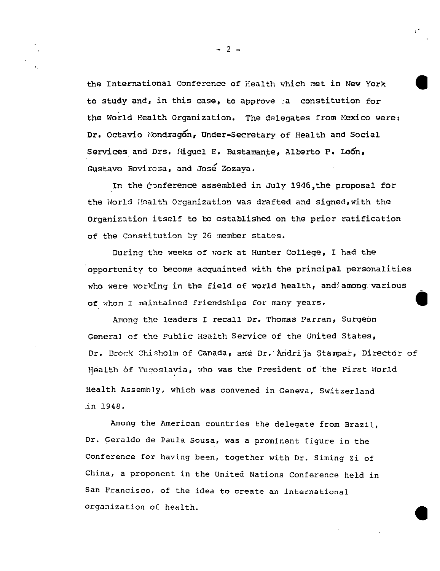the International Conference of Health which met in New York to study and, in this case, to approve a constitution for the World Health Organization. The delegates from Mexico were; Dr. Octavio Mondragon, Under-Secretary of Health and Social Services and Drs. Miguel E. Bustamante, Alberto P. León, Gustavo Rovirosa, and José Zozaya.

In the conference assembled in July 1946, the proposal for the World Health Organization was drafted and signed, with the Organization itself to be established on the prior ratification of the constitution by 26 member states.

During the weeks of work at Hunter College, I had the opportunity to become acquainted with the principal personalities who were working in the field of world health, and among various of whom I maintained friendships for many years.

Among the leaders I recall Dr. Thomas Parran, Surgeon General of the Public Health Service of the United States, Dr. Brock Chisholm of Canada, and Dr. Andrija Stampar, Director of Health of Yuqoslavia, who was the President of the First World Health Assembly, which was convened in Geneva, Switzerland in 1948.

Among the American countries the delegate from Brazil, Dr. Geraldo de Paula Sousa, was a prominent figure in the Conference for having been, together with Dr. Siming Zi of China, a proponent in the United Nations Conference held in San Francisco, of the idea to create an international organization of health.

 $-2-$ 

**,**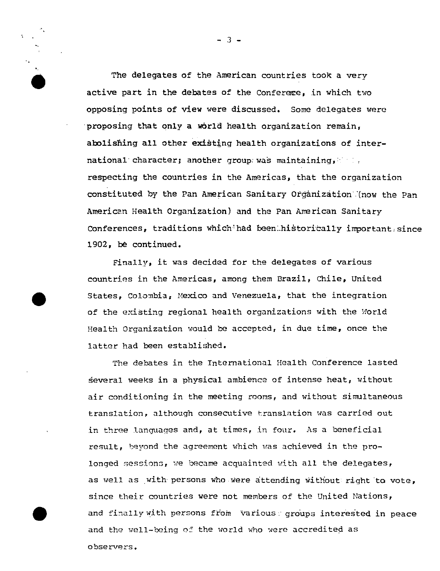The delegates of the American countries took a very active part in the debates of the Conferere. in which two opposing points of view were discussed. Some delegates were proposing that only a world health organization remain, abolishing all other existing health organizations of international character; another group was maintaining. respecting the countries in the Americas, that the organization constituted by the Pan American Sanitary Organization (now the Pan American Health Organization) and the Pan American Sanitary Conferences, traditions which had been historically important since 1902, be continued.

Finally, it was decided for the delegates of various countries in the Americas, among them Brazil, Chile, United States, Colombia, Mexico and Venezuela, that the integration of the existing regional health organizations with the World Health Organization would be accepted, in due time, once the latter had been established.

The debates in the International Health Conference lasted several weeks in a physical ambience of intense heat, without air conditioning in the meeting rooms, and without simultaneous translation, although consecutive translation was carried out in three languages and, at times, in four. As a beneficial result, beyond the agreement which was achieved in the prolonged sessions, we became acquainted with all the delegates, as well as with persons who were attending without right to vote, since their countries were not members of the United Nations, and finally with persons from various groups interested in peace and the well-being of the world who were accredited as observers.

 $-3-$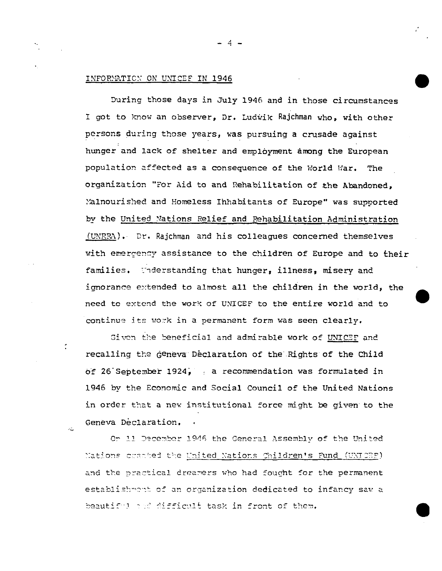## INFORMATION ON UNICEF IN 1946

эź.

During those days in July 1946 and in those circumstances I got to know an observer, Dr. Ludwik Rajchman who, with other persons during those years, was pursuing a crusade against hunger and lack of shelter and employment among the European population affected as a consequence of the World War. The organization "For Aid to and Rehabilitation of the Abandoned, Malnourished and Homeless Inhabitants of Europe" was supported by the United Nations Relief and Rehabilitation Administration  $(LWRRM)$ . Dr. Rajchman and his colleagues concerned themselves with emergency assistance to the children of Europe and to their families. Wheatstanding that hunger, illness, misery and ignorance extended to almost all the children in the world, the need to extend the work of UNICEF to the entire world and to continue its work in a permanent form was seen clearly.

Given the beneficial and admirable work of UNICEF and recalling the geneva Declaration of the Rights of the Child of 26 September 1924, , a recommendation was formulated in 1946 by the Economic and Social Council of the United Nations in order that a new institutional force might be given to the Geneva Declaration.

Or 11 December 1946 the General Assembly of the United Nations cratted the United Nations Children's Fund (UNICEP) and the practical dreamers who had fought for the permanent establishmont of an organization dedicated to infancy saw a beautiful and difficult task in front of them.

 $-4 -$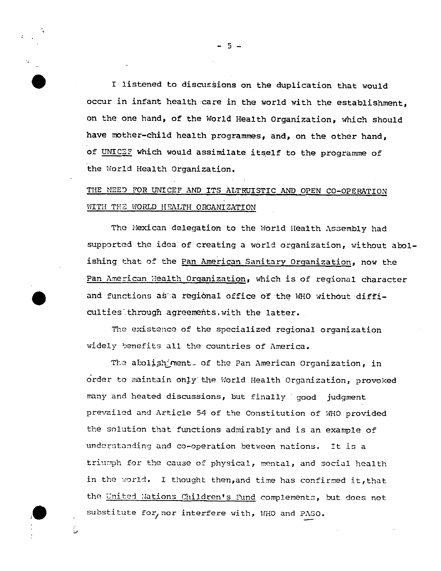I listened to discussions on the duplication that would occur in infant health care in the world with the establishment, on the one hand, of the World Health Organization, which should have mother-child health programmes, and, on the other hand, of UNICEF which would assimilate itself to the programme of the World Health Organization.

# THE NEED FOR UNICEF AND ITS ALTRUISTIC AND OPEN CO-OPERATION WITH THE WORLD HEALTH ORGANIZATION

The Mexican delegation to the World Health Assembly had supported the ideal of creating a world organization, without abolishing that of the Pan American Sanitary Organization, now the Pan American Health Organization, which is of regional character and functions as a regional office of the WHO without difficulties through agreements. with the latter.

The existence of the specialized regional organization widely benefits all the countries of America.

The abolish ment of the Pan American Organization, in order to maintain only the World Health Organization, provoked many and heated discussions, but finally good judgment prevailed and Article 54 of the Constitution of WHO provided the solution that functions admirably and is an example of understanding and co-operation between nations. It is a triumph for the cause of physical, mental, and social health in the world. I thought then, and time has confirmed it, that the United Nations Children's Fund complements, but does not substitute for, nor interfere with, WHO and PASO.

ر:

 $5 -$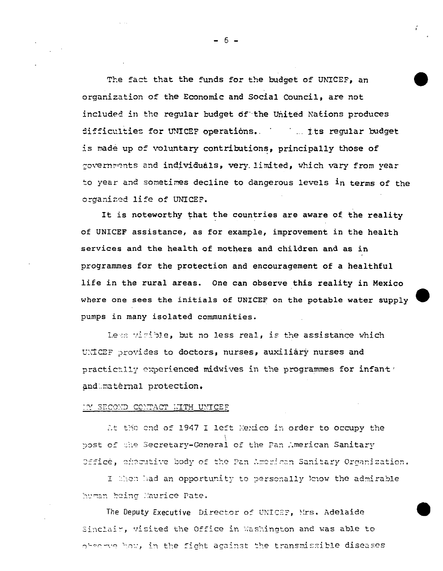The fact that the funds for the budget of UNICEF, an organization of the Economic and Social Council, are not included in the reqular budget of the United Nations produces difficulties for UNICEF operations. This requiar budget is made up of voluntary contributions, principally those of covernments and individuals, very limited, which vary from vear to year and sometimes decline to dangerous levels in terms of the organized life of UNICEF.

It is noteworthy that the countries are aware of the reality of UNICEF assistance, as for example, improvement in the health services and the health of mothers and children and as in programmes for the protection and encouragement of a healthful life in the rural areas. One can observe this reality in Mexico where one sees the initials of UNICEF on the potable water supply pumps in many isolated communities.

Less wisible, but no less real, is the assistance which UNICEF provides to doctors, nurses, auxiliary nurses and practically experienced midwives in the programmes for infant' and maternal protection.

#### <u>IN SECOND CONTACT HITH UNICEE</u>

At the end of 1947 I left Mexico in order to occupy the post of the Secretary-General of the Pan American Sanitary Office, executive body of the Pan American Sanitary Organization.

I then had an opportunity to personally know the admirable human heing Maurice Pate.

The Deputy Executive Director of UNICEP, Mrs. Adelaide Sinclair, visited the Office in Washington and was able to observe how, in the fight against the transmissible diseases

 $-6-$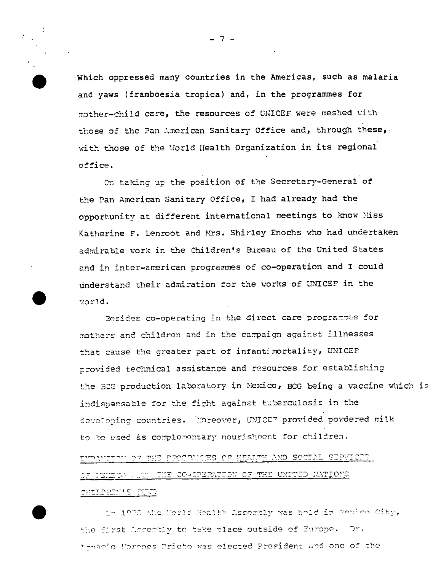Which oppressed many countries in the Americas, such as malaria and vaws (framboesia tropica) and, in the programmes for mother-child care, the resources of UNICEF were meshed with those of the Pan American Sanitary Office and, through these, with those of the World Health Organization in its regional office.

On taking up the position of the Secretary-General of the Pan American Sanitary Office, I had already had the opportunity at different international meetings to know Miss Katherine F. Lenroot and Mrs. Shirley Enochs who had undertaken admirable work in the Children's Bureau of the United States and in inter-american programmes of co-operation and I could understand their admiration for the works of UNICEF in the world.

Besides co-operating in the direct care programmes for mothers and children and in the campaign against illnesses that cause the greater part of infantimortality, UNICEF provided technical assistance and resources for establishing the BCG production laboratory in Mexico, BCG being a vaccine which is indispensable for the fight against tuberculosis in the developing countries. Moreover, UNICEF provided powdered milk to be used as complementary nourishment for children.

SOCIAL SEPVICES OF HEALTH AND SOCIAL SEPVICES OF IEITOO HUTH THE CO-OPERATION OF THE UNITED NATIONS **CHIPERI'S FUND** 

In 1935 the World Health Assembly was hold in Mexico City, the first Lecembly to take place outside of Europe. Dr. Irmacio Morones Prieto was elected President and one of the

 $7.$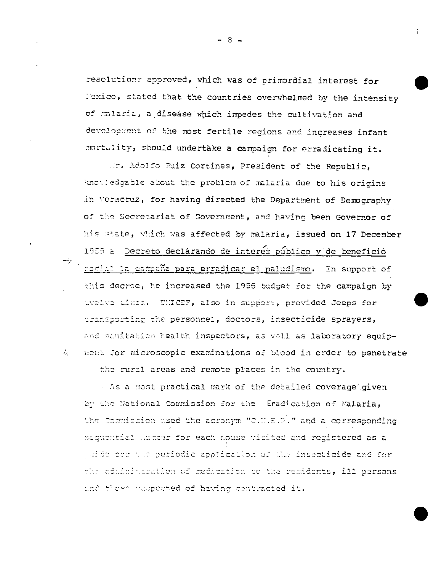resolutions approved, which was of primordial interest for Mexico, stated that the countries overwhelmed by the intensity of malaria, a disease which impedes the cultivation and development of the most fertile regions and increases infant mortulity, should undertake a campaign for erradicating it.

Mr. Adolfo Ruiz Cortines, President of the Republic, knowledgable about the problem of malaria due to his origins in Veracruz, for having directed the Department of Demography of the Secretariat of Government, and having been Governor of his state, which was affected by malaria, issued on 17 December 1955 a Decreto declarando de interes público y de beneficio codial la campaña para erradicar el paludismo. In support of this decree, he increased the 1956 budget for the campaign by twelve times. UNICEF, also in support, provided Jeeps for transporting the personnel, doctors, insecticide sprayers, and sanitation health inspectors, as well as laboratory equipthe ment for microscopic examinations of blood in order to penetrate the rural areas and remote places in the country.

As a most practical mark of the detailed coverage given by the National Commission for the Eradication of Malaria, the Commission used the acronym "C.M.E.P." and a corresponding sequential humber for each house visited and registered as a juide for the periodic application of the insecticide and for the administration of medication to the recidents, ill persons and these maspocted of having contracted it.

- 8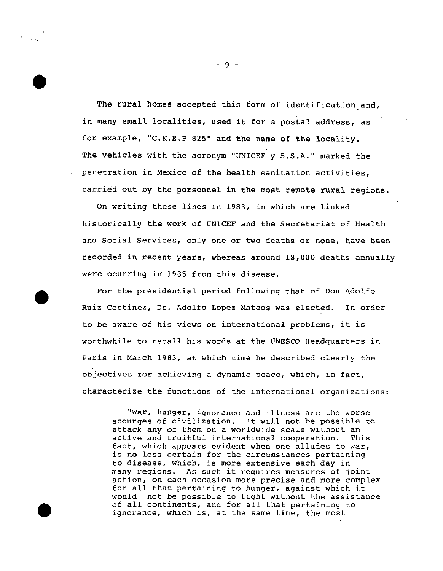The rural homes accepted this form of identification and, in many small localities, used it for a postal address, as for example, "C.N.E.P 825" and the name of the locality. The vehicles with the acronym "UNICEF  $y$  S.S.A." marked the penetration in Mexico of the health sanitation activities, carried out by the personnel in the most remote rural regions.

On writing these lines in 1983, in which are linked historically the work of UNICEF and the Secretariat of Health and Social Services, only one or two deaths or none, have been recorded in recent years, whereas around 18,000 deaths annually were ocurring in 1935 from this disease.

For the presidential period following that of Don Adolfo Ruiz Cortinez, Dr. Adolfo Lopez Mateos was elected. In order to be aware of his views on international problems, it is worthwhile to recall his words at the UNESCO Headquarters in Paris in March 1983, at which time he described clearly the objectives for achieving a dynamic peace, which, in fact, characterize the functions of the international organizations:

●

"War, hunger, ignorance and illness are the worse scourges of civilization. It will not be possible to attack any of them on a worldwide scale without an active and fruitful international cooperation. This fact, which appears evident when one alludes to war, is no less certain for the circumstances pertaining to disease, which, is more extensive each day in many regions. As such it requires measures of joint action, on each occasion more precise and more complex for all that pertaining to hunger, against which it would not be possible to fight without the assistance of all continents, and for all that pertaining to ignorance, which is, at the same time, the most

-9-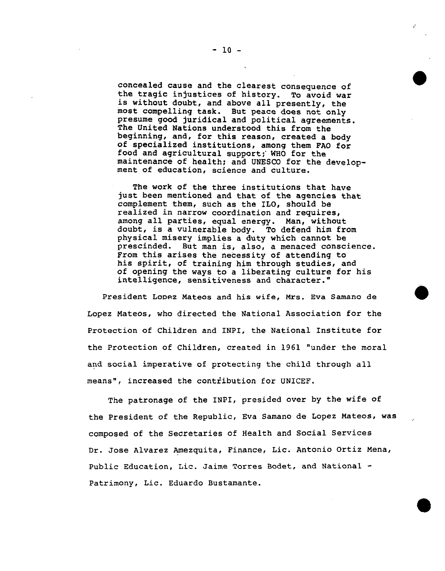concealed cause and the clearest consequence of the tragic injustices of history. To avoid war is without doubt, and above all presently, the most compelling task. But peace does not only presume good juridical and political agreements. The United Nations understood this from the beginning, and, for this reason, created a body of specialized institutions, among them FAO for food and agricultural support; WHO for the maintenance of health; and UNESCO for the development of education, science and culture.

The work of the three institutions that have just been mentioned and that of the agencies that complement them, such as the ILO, should be realized in narrow coordination and requires, among all parties, equal energy. Man, without doubt, is a vulnerable body. To defend him from physical misery implies a duty which cannot be prescinded. But man is, also, a menaced conscience. From this arises the necessity of attending to his spirit, of training him through studies, and of opening the ways to a liberating culture for his intelligence, sensitiveness and character."

President Looez Mateos and his wife, Mrs. Eva Samano de Lopez Mateos, who directed the National Association for the Protection of Children and INPI, the National Institute for the Protection of Children, created in 1961 "under the moral and social imperative of protecting the child through all means", increased the contribution for UNICEF.

The patronage of the INPI, presided over by the wife of the President of the Republic, Eva Samano de Lopez Mateos, Was composed of the Secretaries of Health and Social Services Dr. Jose Alvarez Amezquita, Finance, Lic. Antonio Ortiz Mena, Public Education, Lie. Jaime Torres Bodet, and National - Patrimony, Lie. Eduardo Bustamante.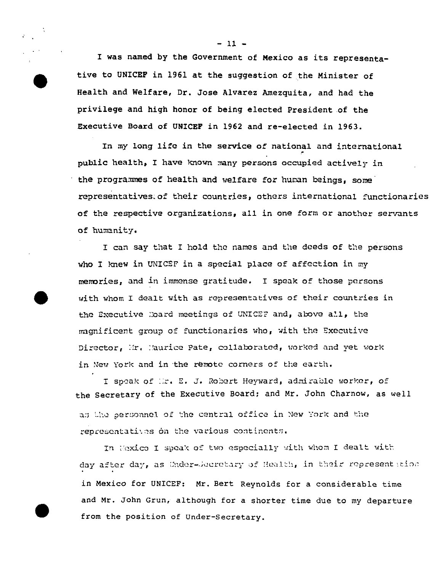1 was named by the Government of Mexico as its representa tive to UNICEF in 1961 at the suggestion of the Minister of Health and Welfare, Dr. Jose Alvarez Amezquita, and had the privilege and high honor of being elected President of the Executive Board of UNICEF in 1962 and re-elected in 1963.

●

In my long life in the service **of** national and international ,. public health, I have known many persons occupied actively in the programmes of health and welfare for human beings, some representatives-of their countries, others international functionaries of the respective organizations, all in one form or another servants of humanity.

I can say that I hold the names and the deeds of the persons who I knew in UNICEF in a special place of affection in  $my$ memories, and in immense gratitude. I speak of those persons with whom I dealt with as representatives of their countries in the Executive : Dard meetings of UNICEF and, above all, the magnificent group of functionaries who, with the Executive Director, Mr. Maurice Pate, collaborated, worked and yet work in New York and in the remote corners of the earth.

I speak of :ir. E. J. Robert Heyward, admirable worker, of the Secretary of the Executive Board: and Mr. John Charnow, as well a: the personnel of the central office in New *York* and the representatives on the various continents.

In Mexico I speak of two especially with whom I dealt with day after day, as Under-Jecretary of Health, in their representation in Mexico for UNICEF: Mr. Bert Reynolds for a considerable time and Mr. John Grun, although for a shorter time due to my departurefrom the position of Under-Secretary.

 $-11-$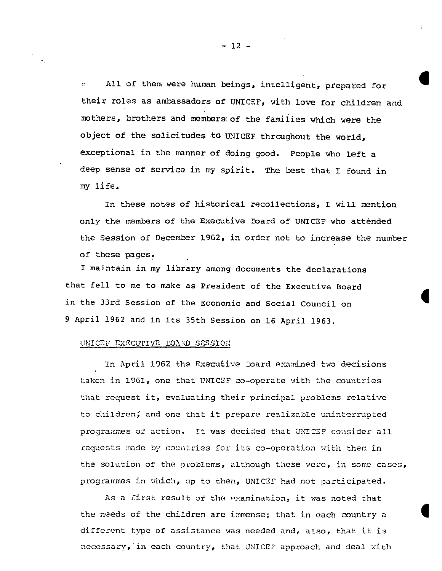All of them were human beings, intelligent, prepared for  $\mathbf{r}$ their roles as ambassadors of UNICEF, with love for children and mothers, brothers and members of the families which were the object of the solicitudes to UNICEF throughout the world. exceptional in the manner of doing good. People who left a deep sense of service in my spirit. The best that I found in my life.

In these notes of historical recollections, I will mention only the members of the Executive Board of UNICEF who attended the Session of December 1962, in order not to increase the number of these pages.

I maintain in my library among documents the declarations that fell to me to make as President of the Executive Board in the 33rd Session of the Economic and Social Council on 9 April 1962 and in its 35th Session on 16 April 1963.

#### UNICEF EXECUTIVE BOARD SESSION

In April 1962 the Executive Doard examined two decisions taken in 1961, one that UNICEF co-operate with the countries that request it, evaluating their principal problems relative to children; and one that it prepare realizable uninterrupted programmes of action. It was decided that UNICEF consider all requests made by countries for its co-operation with them in the solution of the problems, although these were, in some cases, programmes in which, up to then, UNICEF had not participated.

As a first result of the examination, it was noted that the needs of the children are immense; that in each country a different type of assistance was needed and, also, that it is necessary, in each country, that UNICEF approach and deal with

 $-12 -$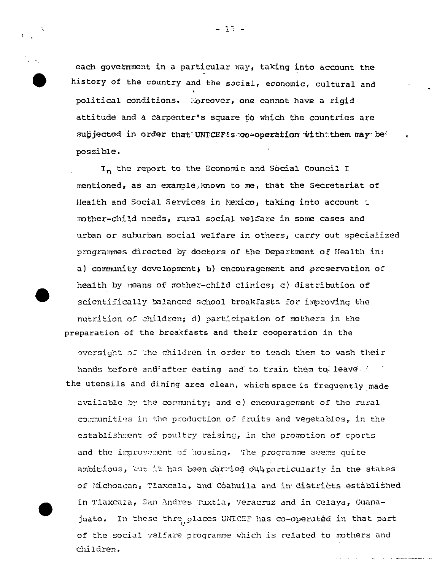$-13 -$ 



each government in a particular way, taking into account the history of the country and the social, economic, cultural and political conditions. Moreover, one cannot have a rigid attitude and a carpenter's square to which the countries are subjected in order that UNICEFIs co-operation with them may be possible.

In the report to the Economic and Social Council I mentioned, as an example, known to me, that the Secretariat of Health and Social Services in Mexico, taking into account t mother-child needs, rural social welfare in some cases and urban or suburban social welfare in others, carry out specialized programmes directed by doctors of the Department of Health in: a) community development; b) encouragement and preservation of health by means of mother-child clinics; c) distribution of scientifically balanced school breakfasts for improving the nutrition of children; d) participation of mothers in the preparation of the breakfasts and their cooperation in the

oversight of the children in order to teach them to wash their hands before and after eating and to train them to leave the the utensils and dining area clean, which space is frequently made available by the community; and e) encouragement of the rural communities in the production of fruits and vegetables, in the establishment of poultry raising, in the promotion of sports and the improvement of housing. The programme seems quite ambitious, but it has been carried out particularly in the states of Michoacan, Tlaxcala, and Coahuila and in districts established in Tlaxcala, San Andres Tuxtla, Veracruz and in Celaya, Guanajuato. In these thre places UNICEF has co-operated in that part of the social welfare programme which is related to mothers and children.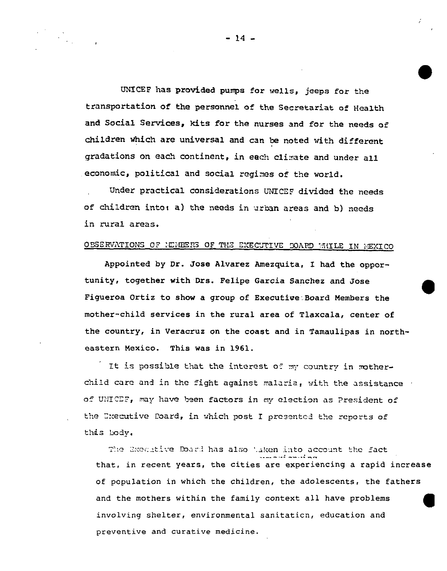UNICEF has provided pumps for wells, jeeps for the transportation of the personnel of the Secretariat of Health and Social Services, kits for the nurses and for the needs of children which are universal and can be noted with different gradations on each continent, in each climate and under all economic, political and social regimes of the world.

Under practical considerations UNICEF divided the needs of children into; a) the needs in urban areas and b) needs in rural areas.

## OBSERVATIONS OF NEMBERS OF THE EXECUTIVE BOARD WHILE IN MEXICO

Appointed by Dr. Jose Alvarez Amezquita, I had the opportunity, together with Drs. Felipe Garcia Sanchez and Jose Figueroa Ortiz to show a group of Executive Board Members the mother-child services in the rural area of Tlaxcala, center of the country, in Veracruz on the coast and in Tamaulipas in northeastern Mexico. This was in 1961.

It is possible that the interest of my country in motherchild care and in the fight against malaria, with the assistance of UNICEF, may have been factors in my election as President of the Executive Poard, in which post I presented the reports of this lody.

The Executiv<mark>e Do</mark>ard has also '.aken into account the fact ..----.1---.:.. that, in recent years, the cities are experiencing a rapid increase of population in which the children, the adolescents, the fathers and the mothers within the family context all have problems Q involving shelter, environmental sanitation, education and preventive and curative medicine.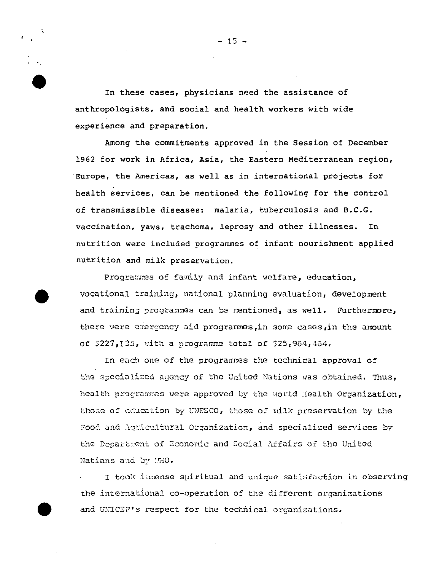In these cases, physicians need the assistance of anthropologists, and social and health workers with wide experience and preparation.

Among the commitments approved in the Session of December 1962 for work in Africa, Asia, the Eastern Mediterranean region, Europe, the Americas, as well as in international projects for health services, can be mentioned the following for the control of transmissible diseases: malaria, tuberculosis and B.C.G. vaccination, yaws, trachoma, leprosy and other illnesses. In nutrition were included programmes of infant nourishment applied nutrition and milk preservation.

Programmes of family and infant welfare, education. vocational training, national planning evaluation, development and training programmes can be mentioned, as well. Furthermore, there were emergency aid programmes, in some cases, in the amount of  $$227,135$ , with a programme total of  $$25,964,464$ .

In each one of the programmes the technical approval of the specialized agency of the United Nations was obtained. Thus, health programmes were approved by the World Health Organization, those of education by UNESCO, those of milk preservation by the Food and Agricultural Organization, and specialized services by the Department of Economic and Social Affairs of the United Nations and by MHO.

I took immense spiritual and unique satisfaction in observing the international co-operation of the different organizations and UNICEF's respect for the technical organizations.

 $-15 -$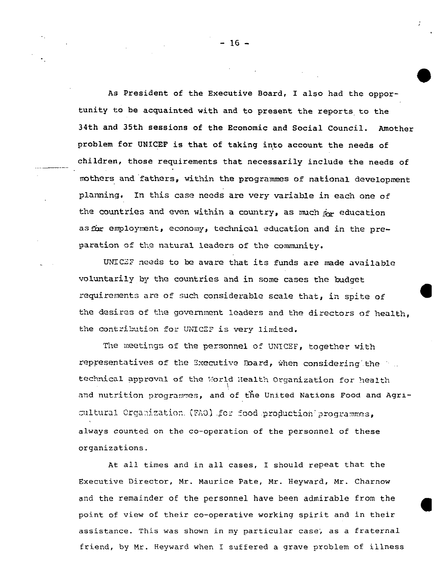As President of the Executive Board, I also had the opportunity to be acquainted with and to present the reports, to the 34th and 35th sessions of the Economic and Social Council. Amother problem for UNICEF is that of taking into account the needs of children, those requirements that necessarily include the needs of mothers and fathers, within the programmed of national development planning, In this case needs are very variable in each one of the countries and even within a country, as much  $\phi_{\mathbf{r}}$  education as for employment, economy, technical education and in the preparation of the natural leaders of the community.

... ..

UNICEF needs to be aware that its funds are made available voluntarily by the countries and in some cases the budget requirements are of such considerable scale that, in spite of the desires of the government leaders and the directors of health, the contribution for UNICEF is very limited.

The meetings of the personnel of UNICEF, together with representatives of the Executive Board, when considering the  $\pm$ . technical approval of the World Health Organization for health and nutrition programmes, . and of the United Nations Food and Agricultural Crgamization. (FAO) .for food production programmes always counted on the co-operation of the personnel of these organizations.

At all times and in all *cases,* I should repeat that the Executive Director, Mr. Maurice Pate, Mr. Heyward, Mr. Charnow and the remainder of the personnel have been admirable from the point of view of their co-operative working spirit and in their assistance. This was shown in my particular case; as a fraternal friend, by Mr. Heyward when I suffered a grave problem of illness

●

-16-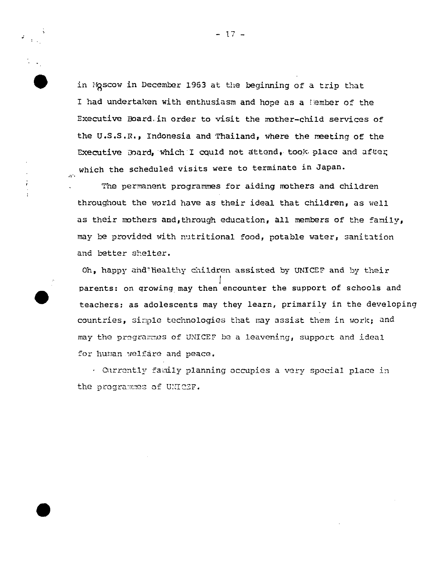in Moscow in December 1963 at the beginning of a trip that I had undertaken with enthusiasm and hope as a lember of the Executive Board, in order to visit the mother-child services of the U.S.S.R., Indonesia and Thailand, where the meeting of the Executive Board, which I could not attend, took place and after which the scheduled visits were to terminate in Japan.

The permanent programmes for aiding mothers and children throughout the world have as their ideal that children, as well as their mothers and, through education, all members of the family, *maY M* provided with nutritional food, potable water, sanitation and better shelter.

 $\mathbf{r}$ 

Oh, happy ahd'healthy children assisted by UNICEF and by their l. *I* parents: on qrowing,may then encounter the support of schools and teachers: as adolescents may they learn, primarily in the developing countries, simple technologies that may assist them in work; and may the programmes of UNICEF be a leavening, support and ideal for human welfare and peace.

. Currently family planning occupies a very special place in the programmes of UNICEF.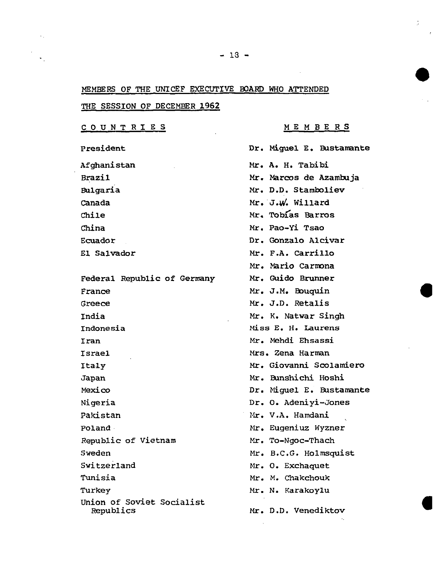### MEMBERS OF THE UNICEF EXECUTIVE BOARD WHO ATTENDED

THE **SESSION OF DECEMRER 1962**

**COUNTRIES**

**President**

**Afghanistan Brazil** Bulgaria **Canada Chile China Ecuador El Salwdor**

**Federal Republic of Germeny Prance Greece India Indonesia Iran Israel ItaLy Japan Mexico Nigeria Pakistan Poland Republic of Vietnam Sweden Switzerland Tunisia Turkey Union of Soviet Socialist Republics**

**MEMBERS**

**Dr. Miguel E. Bustamante Mr. A. H. Tabibi Mr. Narcoe de Azamkuja Mr. D.D. Stamkoliev Mr. J.ti.Willard Mr. Tobflas Barros Mr. Pao-Yi Tsao Dr. Gonzalo Alcivar Mr. F.A. Carrillo** Mr. Mario Carm<mark>on</mark>a **Mr.** Guido Ekunner **Nr.** J.M. Ebuquin **Mr.** J.D. Retalis **Mr.** K, Natwar Singh **Miss E. H. Laurens Mr.** Nehdi Ehsassi Nrs. Zena Harman Nr. **Giovanni Scolamiero** Mr. **Ennstichi Hoshi Dr. Miguel E. Eustamn~e Dr. 0. Adeniyi-Jones I.&. V.A. Hamdani ~ Mr. Eugeniuz Wyzner Mr. To-Ngoc-Thach Nr. B.C.G. Holmsquist Mr. O. Exchaquet Mr. M. Chakchouk Mr. N. Karakoylu Mr. D.D. Venediktov**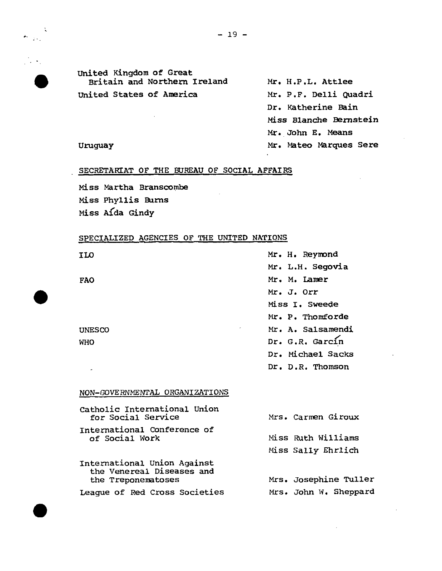

 $\frac{1}{2}$ 

## United Kingdom of Great Britain and Northern Ireland Mr. H.P.L. Attlee United States of America

Mr. P.F. Delli Quadri Dr. Katherine Bain Miss Blanche Bernstein Mr. John E. Means Mr. Mateo Marques Sere

### Uruguay

### SECRETARIAT OF THE BUREAU OF SOCIAL AFFAIRS

Miss Martha Branscombe Miss Phyllis Burns Miss Aida Gindy

## SPECIALIZED AGENCIES OF THE UNITED NATIONS

| ILO           | Mr. H. Reymond         |
|---------------|------------------------|
|               | Mr. L.H. Segovia       |
| <b>FAO</b>    | Mr. M. Lamer           |
|               | Mr. J. Orr             |
|               | Miss I. Sweede         |
|               | Mr. P. Thomforde       |
| <b>UNESCO</b> | Mr. A. Salsamendi<br>٠ |
| <b>WHO</b>    | Dr. G.R. Garcín        |
|               | Dr. Michael Sacks      |
|               | Dr. D.R. Thomson       |

#### NON-GOVERNMENTAL ORGANIZATIONS

| Catholic International Union<br>for Social Service                             | Mrs. Carmen Giroux                       |
|--------------------------------------------------------------------------------|------------------------------------------|
| International Conference of<br>of Social Work                                  | Miss Ruth Williams<br>Miss Sally Ehrlich |
| International Union Against<br>the Venereal Diseases and<br>the Treponematoses | Mrs. Josephine Tuller                    |
| <b>League of Red Cross Societies</b>                                           | Mrs. John W. Sheppard                    |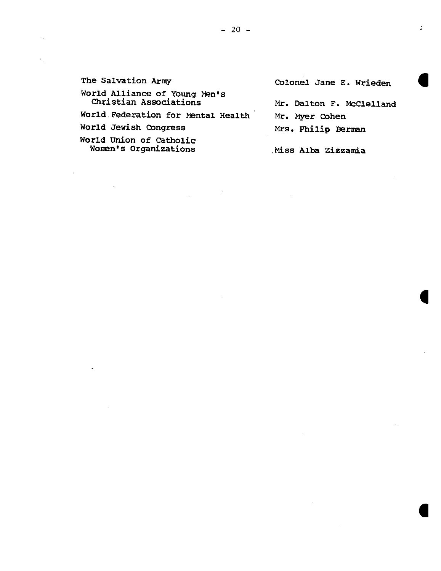| The Salvation Army                                      | Colonel Jane E. Wrieden  |
|---------------------------------------------------------|--------------------------|
| World Alliance of Young Men's<br>Christian Associations | Mr. Dalton F. McClelland |
| World Federation for Mental Health                      | Mr. Myer Cohen           |
| World Jewish Congress                                   | Mrs. Philip Berman       |
| World Union of Catholic<br>Women's Organizations        | Miss Alba Zizzamia       |

 $\mathcal{L}(\mathcal{L}(\mathcal{L}))$  and  $\mathcal{L}(\mathcal{L}(\mathcal{L}))$  . The contribution of the contribution of  $\mathcal{L}(\mathcal{L})$ 

 $-20-$ 

 $\mathcal{O}(\mathcal{O}_\mathcal{A})$  . The set of  $\mathcal{O}_\mathcal{A}$ 

 $\mathcal{L}(\mathcal{L}(\mathcal{L}))$  and  $\mathcal{L}(\mathcal{L}(\mathcal{L}))$  . The contribution of  $\mathcal{L}(\mathcal{L})$ 

 $\mathcal{L}(\mathcal{L}(\mathcal{L}))$  and  $\mathcal{L}(\mathcal{L}(\mathcal{L}))$  . The contribution of  $\mathcal{L}(\mathcal{L})$ 

 $\label{eq:2.1} \frac{1}{\sqrt{2}}\left(\frac{1}{\sqrt{2}}\right)^{2} \left(\frac{1}{\sqrt{2}}\right)^{2} \left(\frac{1}{\sqrt{2}}\right)^{2} \left(\frac{1}{\sqrt{2}}\right)^{2} \left(\frac{1}{\sqrt{2}}\right)^{2} \left(\frac{1}{\sqrt{2}}\right)^{2} \left(\frac{1}{\sqrt{2}}\right)^{2} \left(\frac{1}{\sqrt{2}}\right)^{2} \left(\frac{1}{\sqrt{2}}\right)^{2} \left(\frac{1}{\sqrt{2}}\right)^{2} \left(\frac{1}{\sqrt{2}}\right)^{2} \left(\$ 

 $\sigma_{\rm{max}}$ 

 $\mathbb{R}^2$ 

 $\label{eq:2.1} \frac{1}{\sqrt{2}}\int_{\mathbb{R}^3}\frac{1}{\sqrt{2}}\left(\frac{1}{\sqrt{2}}\right)^2\left(\frac{1}{\sqrt{2}}\right)^2\left(\frac{1}{\sqrt{2}}\right)^2\left(\frac{1}{\sqrt{2}}\right)^2\left(\frac{1}{\sqrt{2}}\right)^2.$ 

 $\label{eq:2.1} \frac{1}{\sqrt{2}}\int_{0}^{\infty}\frac{1}{\sqrt{2\pi}}\left(\frac{1}{\sqrt{2\pi}}\right)^{2}d\mu\left(\frac{1}{\sqrt{2\pi}}\right)\frac{d\mu}{d\mu}d\mu\left(\frac{1}{\sqrt{2\pi}}\right).$ 

 $\label{eq:2.1} \frac{1}{\sqrt{2}}\int_{\mathbb{R}^3}\frac{1}{\sqrt{2}}\left(\frac{1}{\sqrt{2}}\right)^2\left(\frac{1}{\sqrt{2}}\right)^2\left(\frac{1}{\sqrt{2}}\right)^2\left(\frac{1}{\sqrt{2}}\right)^2\left(\frac{1}{\sqrt{2}}\right)^2\left(\frac{1}{\sqrt{2}}\right)^2.$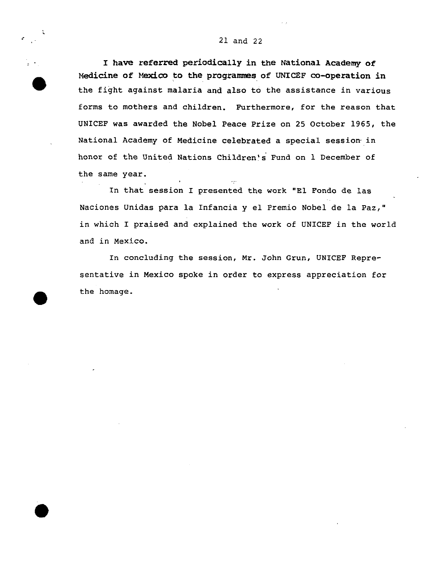#### 21 and 22



 $\bullet$ 

I have referred periodically in the National Academy of Medicine of Mexico to the programmes of UNICEF co-operation in the fight against malaria and also to the assistance in various forms to mothers and children. Furthermore, for the reason that UNICEF was awarded the Nobel Peace Prize on 25 October 1965, the National Academy of Medicine celebrated a special session in honor of the United Nations Children's Fund on 1 December of the same year. .

In that session I presented the work "El Fondo de las Naciones Unidas para la Infancia y el Premio Nobel de la Paz," in which I praised and explained the work of UNICEF in the world and in Mexico.

In concluding the session, **Mr.** John Grun, UNICEF Representative in Mexico spoke in order to express appreciation for the homage.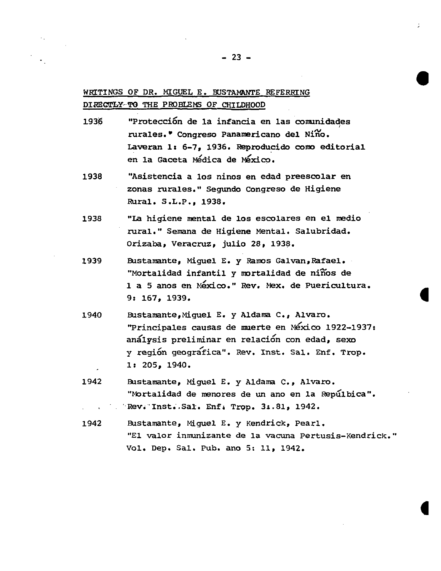## WRITINGS OF DR. MIGUEL E. BUSTAMANTE REFERRING DIRECTLY-TO THE PROBLEMS OF CHILDHOOD

- "Protección de la infancia en las comunidades 1936 rurales. Congreso Panamericano del Niño. Laveran 1: 6-7, 1936. Reproducido como editorial en la Gaceta Médica de México.
- 1938 "Asistencia a los ninos en edad preescolar en zonas rurales." Segundo Congreso de Higiene Rural. S.L.P., 1938.
- "La higiene mental de los escolares en el medio 1938 rural." Semana de Higiene Mental. Salubridad. Orizaba, Veracruz, julio 28, 1938.
- Bustamante, Miguel E. y Ramos Galvan, Rafael. 1939 "Mortalidad infantil y mortalidad de niños de 1 a 5 anos en México." Rev. Mex. de Puericultura. 9: 167, 1939.
- Bustamante, Miguel E. y Aldama C., Alvaro. 1940 "Principales causas de muerte en México 1922-1937: análysis preliminar en relación con edad, sexo y región geografica". Rev. Inst. Sal. Enf. Trop. 1: 205, 1940.
- 1942 Bustamante, Miguel E. y Aldama C., Alvaro. "Mortalidad de menores de un ano en la Repúlbica". Rev. Inst. Sal. Enf. Trop. 31.81, 1942.
- 1942 Bustamante, Miguel E. y Kendrick, Pearl. "El valor inmunizante de la vacuna Pertusis-Kendrick." Vol. Dep. Sal. Pub. ano 5: 11, 1942.

 $-23 -$ 

÷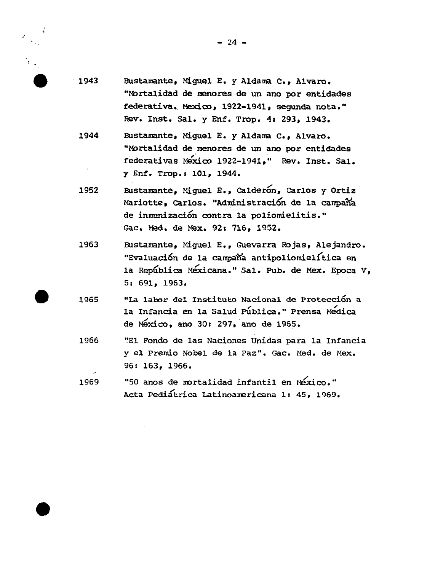

- $1943$ Bustamante, Miguel E. y Aldama C., Alvaro. "Mortalidad de menores de un ano por entidades federativa, Mexico, 1922-1941, segunda nota." Rev. Inst. Sal. y Enf. Trop. 4: 293, 1943.
	- 1944 Bustamante, Miguel E. y Aldama C., Alvaro. "Mortalidad de menores de un ano por entidades federativas Mexico 1922-1941," Rev. Inst. Sal. y Enf. Trop.: 101, 1944.
	- Bustamante, Miquel E., Calderon, Carlos y Ortiz 1952 Mariotte, Carlos. "Administración de la campaña de inmunización contra la poliomielitis." Gac. Med. de Mex. 92: 716, 1952.
	- Bustamante, Miquel E., Guevarra Rojas, Alejandro. 1963 "Evaluación de la campaña antipoliomielítica en la República Méxicana." Sal. Pub. de Mex. Epoca V, 5: 691. 1963.
- "La labor del Instituto Nacional de Protección a 1965 la Infancia en la Salud Pública." Prensa Medica de México, ano 30: 297, ano de 1965.
- 1966 "El Fondo de las Naciones Unidas para la Infancia y el Premio Nobel de la Paz". Gac. Med. de Mex. 96: 163, 1966.
- "50 anos de mortalidad infantil en México." 1969 Acta Pediatrica Latinoamericana 1: 45, 1969.

 $-24 -$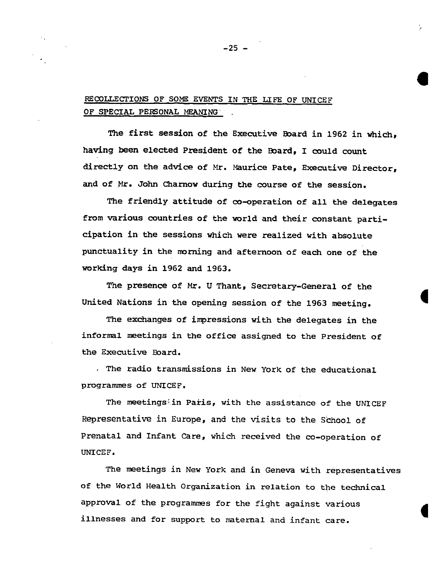## **RECOLLECTIONS** OF SOME EVENTS IN THE LIFE OF UNICEF OF SPECIAL PERSONAL MEANING

**The first session of the Executive Eoard in 1962 in which, hating been elected President of the Eoard, I could count directly on the advice of Mr. Naurice Pate, Executive Director, and of Nr. John Charnow during the course of the session.**

**The friendly attitude of co-operation of all the delegates from various countries of the world and their constant participation in the sessions which were realized with absolute punctuality in the nmning and afternoon of each one of the working days in 1962 and 1963.**

**The presence of Nr. U Thant, Secretary-General of the United Nations in the opening session of the 1963 meeting.**

**The exchanges of impressions with the delegates in the informal meetings in the office assigned to the President of the Executive Eoard.**

**The radio transmissions in New York** of **the educational programmed of UNICEF.**

**The msetings;in Paris, with the assistance** of the UNICEF **Representative in Europe, and the visits to the S&hool of Prenatal and Infant Care, which received the** co-operation of UNICEF.

**The meetings in New York and in Genen with representatives of the World Health Organization in** relation to the technical **aPP~~l of the Programmed for the fight against various illnesses and for support to maternal and infant care.**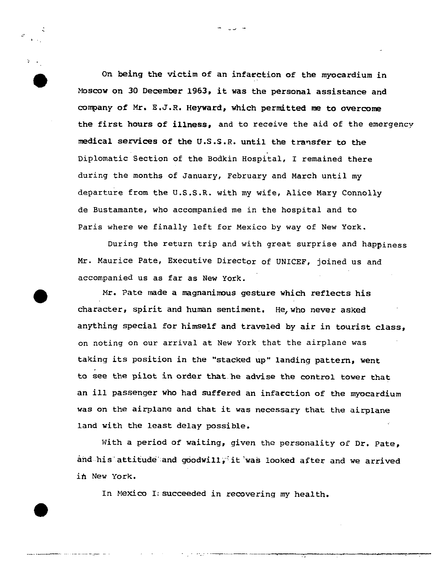On **being the** victim of an infacetion of the myocardium in Moscow on 30 December 1963, it was the personal assistance and company of Mr. E.J.R. Heyward, which permitted me to overcome **the first hours of illness, and to receive** the aid of the emergency **medical services of the** U.S.S.R. until the transfer to the Diplomatic Section of the Bodkin Hospital, I remained there during the months of January, February and March until my departure from the U.S.S.R. with my wife, Alice Mary Connolly de Bustamante, who accompanied me in the hospital and to Paris where we finally left for Mexico by way of New York.

.J -

,.

●

...-..—— . .. —- ,- —

During the *return* trip and with great surprise and happiness Mr. Maurice Pate, Executive Director of UNICEF, joined us and accompanied us as far as New York.

Mr. Pate made a magnanimous gesture which reflects his character, spirit and **human sentiment. He,who never asked** anything special for himself and traveled by air in tourist class, on noting on our arrival at New York that the airplane was **taking** its **position in the "stacked** up" landing pattern, went **to see** the pilot in **order that he advise the control tower that an ill passenger who had suffered an infarction of the myocardium was on the airplane and that it was necessary that the airplane land with the least delay possible.**

**Nith a period of waiting,** *given* the personality of Dr. Pate, **and..his''.attituand.and g60dwi11/it 'was looked after and we arrived** in New York.

In Mexicu I:**succeeded in** *recovering my* health.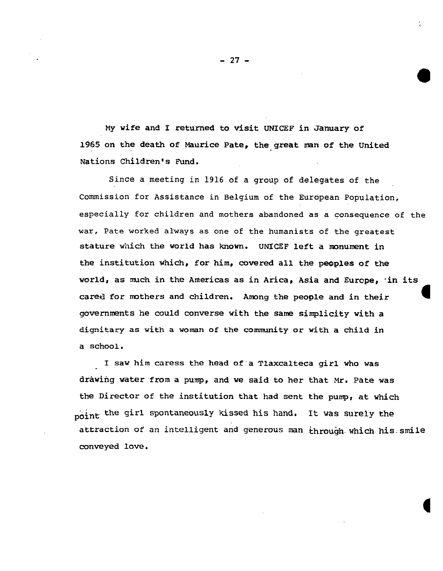**MY wife and I returned to visit UNICEF in January of 1965 on the death of Maurice Pate, the great man of the United Nations Children's Pund.**

Since a ,meeting in **1916 of a group of delegates of the** Commission for Assistance in Belgium of the European Population, especially for children and mothers abandoned as a consequence **of** the war, Pate worked always as one of the humanists of the greatest stature which the world has known. UNICEF left a monument in  $t$ he institution which, for him, covered all the peoples of the **world, as much in the Americas as in Arica, Asia and Eurcpe\* 'in its cared for mothers and children. Amng the people and in their** ● **governments he could converse with the same simplicity vith a** dignitary as with a woman of the community or with a child in **a school.**

**I saw him caress the head of's Tlaxcalteca girl who was iira.wihg.water:from a pump, and we said to her that w. Pate was the Director** of **the institution that had sent the pump, at which ~o~ny the girl spontaneously kissed his hand, It was surely the** *attraction* of an intelligent **and generous man .&hrou9h,which his.,emile conveyed love.**

**-27-**

●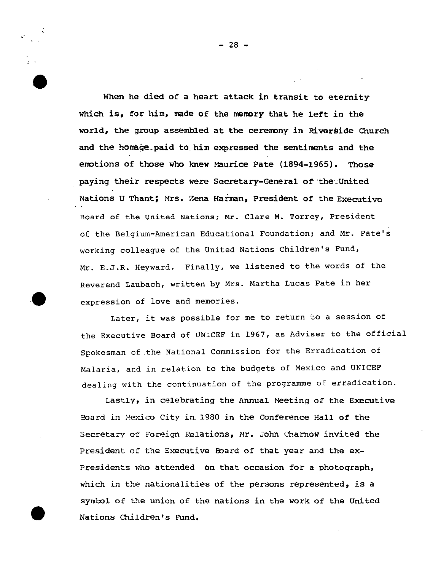**When he died of a heart attack in transit to eternity which is, for him, mede of the memory that he left in the world, the group assembled at the ceremony in Riverside Church and the hom@e.paid to.him expressed the sentiments and the** emtions of **those who knew Maurice Pate (1894-1965). Those paying their respects were Secretary-General of''the:.United Nations U Thant: !&s, Zena Haiman, President of the Executive Board of the United Nations; Mr. Clare M. Torrey, President of the Belgium-American Educational Foundation; and Mr. Pate's working colleague of the United Nations Children's Fund, Mr. E.J.R. Heyward. Finally, we listened to the words of the Reverend Laubach, written by Mrs. Martha Lucas pate in her**

**o expression of love and memories.** Later, it was possible for me to return to a session of the Executive Board of UNICEF in 1967, as Adviser to the official Spokesman of the National Commission for the Erradication of Malaria, and in relation to the budgets of Mexico and UNICEF

dealing with the continuation of the programme of erradication.

Lastly, in celebrating the Annual Meeting of the Executive Eoard *h :,!eYdco*City *in:* **1980 in the Conference Hall of tine Secretary of Foreign** Relations, Nr. John Chamow invited the President of the Executive Eoard of that year and the ex-Presidents who attended bn that occasion for a photograph, which in the nationalities of the persons represented, is a svmtol of the union of the nations in the work of the **United0" Nations children~s Fund.**

**-28-**

...

,.

●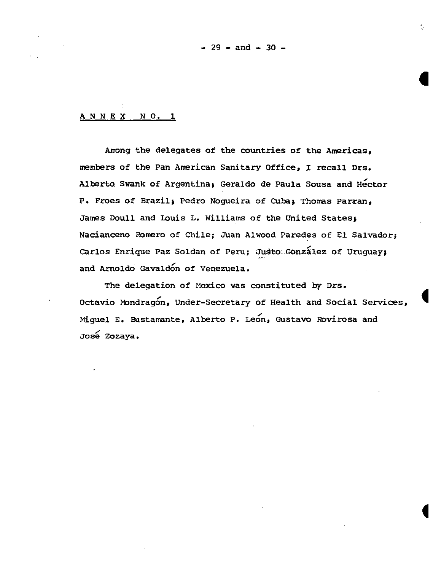**- 29 -and -30-**

### **ANNEX NO. 1**

**Amongthe delegates of the countries of the Americas, members of the Pan American Sanitary Office, X recall Drs.** Alberto Swank of Argentina, Geraldo de Paula Sousa and Hector P. Frees of Brazil~ **Pedro Nogueira** of **Cubaj Thorns Parzan, James Doull and Louis L. Williams of the United States& Naciancsno Romero** of Chile; **Juan Alwood Paredes of El Salmdor; Carlos Enrique Paz Soldan of Peru; Justo:..Gonzalez of Uruguay; and Arnoldo Gavald& of Venezuela.**

**The delegation of Mexico was constituted by Drs. Octavio Mondrag&, Under-Secretary of Health and Social Services\$ Miguel E. Bustamante, Alberto P. Le&n, Gustavo Rovirosa and** José Zozaya.

●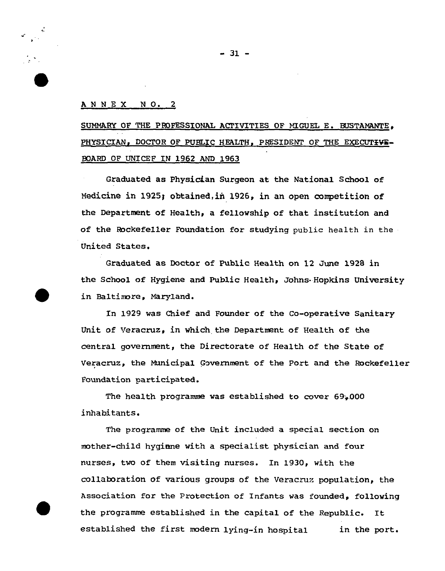### ANNEX NO.2

-.

SUMMARY OF THE PROFESSIONAL ACTIVITIES OF MIGUEL E. BUSTAMANTE, **PHYSICIAN, DOCTOR OF PUBLIC HEALTH. PHESIDENT OF THE EXECUTZVE-SOARD OF UNICEF IN 1962 AND 1963**

**Graduated as Physi&an Surgeon at the National School of Medicine in 1925; obtained,iti 1926, in an open competition of the Department of Health\$ a fellowship of that institution and of the Rockefeller Foundation for studying public health in the United States.**

**Graduated as Doctor of Public Health on 12 June 1928 in the School of Hygiene and Public Health, Johns.Hopkins University** ● **in Baltinnre, Maryland.**

**In 1929 was Chief and Founder of the Co-operative Sanitary Unit of Veracruz, in which the Department of Health of the central governmat, the Directorate of Health of the State of Veracruz, the Municipal Gcrrernmentof the** Port and the Rockefeller **Foundation participated.**

**The health programme was established** to cover 69+.000 **inhabitants.**

**The programme of the Unit included a** special **section on mother-child hygiene with a specialist physician and four** *nurses,* two of **them visiting nurses. In 1930, with the** collaboration of various groups of the Veracruz population, the Association for the Protection of Infants was founded, following the programme established in the capital of the Republic. It established the first modern lying-in hospital in the port.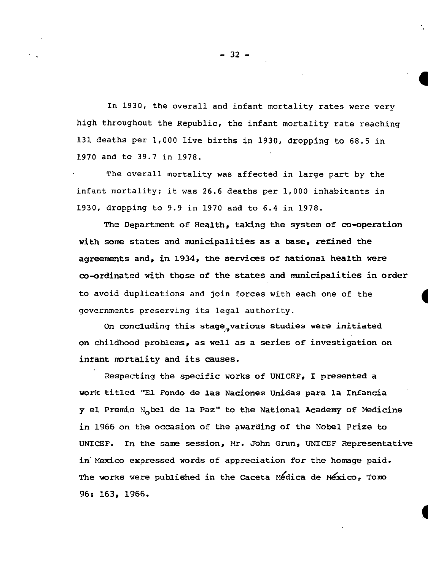In 1930, the overall and infant mortality rates were very **high throughout the Republic, the infant mortality rate reaching 131 deaths per 1,000 live births in 1930, dropping to 68.5 in 1970 and to 39.7 in 1978.**

**The overall mortality was affected in large part by the** infant mortality; it was 26.6 deaths per 1,000 inhabitants in 1930, dropping to 9.9 in 1970 and to 6.4 in 1978.

**The Department of Health, taking the system of co-operation with some states and municipalities as a base, refined the agreements and, in 1934, the services of nabional health were co-ordinated with those of the states and municipalities in order** to avoid duplications and join forces with each one of the governments preserving its legal authority.

On concluding this stage,,various studies were initiated on childhood problems, as well as a series of investigation on infant mortality and its causes.

Respecting the specific works of UNICEF, I presented a work titled "El Fondo de las Naciones Unidas para la Infancia y **el Premio Nobel de la Paz" to the National Academy of Medicine in 1966 on the occasion of the awarding of the Nobel Prize to UNICEF. In the same session, Nr. John Grun, UNICEF Representative in'Mexico exgmessed words of appreciation for the homage paid.** The works were publiehed in the Gaceta **M~dica de N&ico\* Toim 96: 163, 1966.**

**4** 

 $\mathbf{r}$